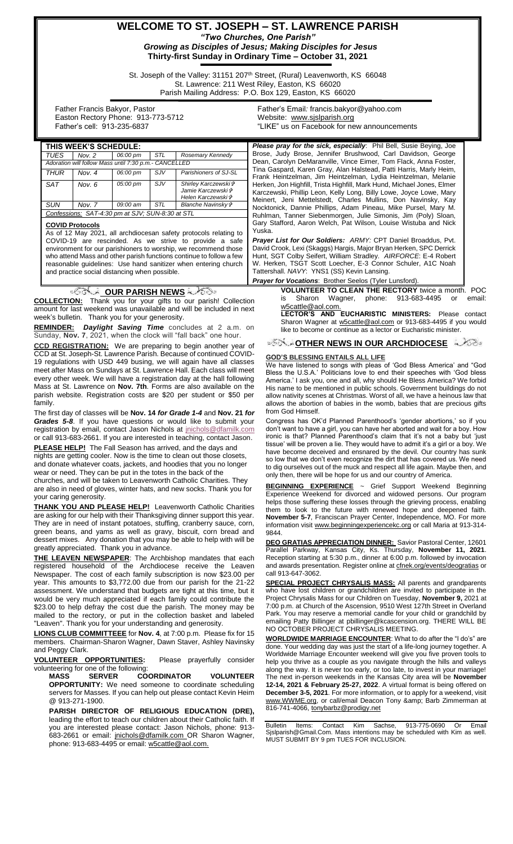# **WELCOME TO ST. JOSEPH – ST. LAWRENCE PARISH** *"Two Churches, One Parish"*

*Growing as Disciples of Jesus; Making Disciples for Jesus* **Thirty-first Sunday in Ordinary Time – October 31, 2021**

St. Joseph of the Valley: 31151 207<sup>th</sup> Street, (Rural) Leavenworth, KS 66048 St. Lawrence: 211 West Riley, Easton, KS 66020 Parish Mailing Address: P.O. Box 129, Easton, KS 66020

 Father Francis Bakyor, Pastor Easton Rectory Phone: 913-773-5712 Father's cell: 913-235-6837

Father's Email*:* francis.bakyor@yahoo.com Website: [www.sjslparish.org](http://www.sjslparish.org/) "LIKE" us on Facebook for new announcements

| <b>TUES</b>                                           | Nov. $2$ | 06:00 pm | <b>STL</b> | Rosemary Kennedy                                                         |
|-------------------------------------------------------|----------|----------|------------|--------------------------------------------------------------------------|
| Adoration will follow Mass until 7:30 p.m.- CANCELLED |          |          |            |                                                                          |
| <b>THUR</b>                                           | Nov. $4$ | 06:00 pm | $S$ JV     | Parishioners of SJ-SL                                                    |
| <b>SAT</b>                                            | Nov. 6   | 05:00 pm | $S$ JV     | Shirley Karczewski ił<br>Jamie Karczewski &<br>Helen Karczewski <i>†</i> |
| SUN                                                   | Nov. 7   | 09:00 am | STL        | Blanche Navinsky &                                                       |
| Confessions: SAT-4:30 pm at SJV; SUN-8:30 at STL      |          |          |            |                                                                          |

#### **COVID Protocols**

As of 12 May 2021, all archdiocesan safety protocols relating to COVID-19 are rescinded. As we strive to provide a safe environment for our parishioners to worship, we recommend those who attend Mass and other parish functions continue to follow a few reasonable guidelines: Use hand sanitizer when entering church and practice social distancing when possible.

#### <sup>ূ</sup>র্ত**ি\_ OUR PARISH NEWS** নীতিজ্

**COLLECTION:** Thank you for your gifts to our parish! Collection amount for last weekend was unavailable and will be included in next week's bulletin. Thank you for your generosity.

**REMINDER:** *Daylight Saving Time* concludes at 2 a.m. on Sunday, **Nov. 7**, 2021, when the clock will "fall back" one hour.

**CCD REGISTRATION:** We are preparing to begin another year of CCD at St. Joseph-St. Lawrence Parish. Because of continued COVID-19 regulations with USD 449 busing, we will again have all classes meet after Mass on Sundays at St. Lawrence Hall. Each class will meet every other week. We will have a registration day at the hall following Mass at St. Lawrence on **Nov. 7th**. Forms are also available on the parish website. Registration costs are \$20 per student or \$50 per family.

The first day of classes will be **Nov. 14** *for Grade 1-4* and **Nov. 21** *for Grades 5-8*. If you have questions or would like to submit your registration by email, contact Jason Nichols at [jnichols@dfamilk.com](mailto:jnichols@dfamilk.com) or call 913-683-2661. If you are interested in teaching, contact Jason.

**PLEASE HELP!** The Fall Season has arrived, and the days and nights are getting cooler. Now is the time to clean out those closets, and donate whatever coats, jackets, and hoodies that you no longer wear or need. They can be put in the totes in the back of the churches, and will be taken to Leavenworth Catholic Charities. They

are also in need of gloves, winter hats, and new socks. Thank you for your caring generosity.

**THANK YOU AND PLEASE HELP!** Leavenworth Catholic Charities are asking for our help with their Thanksgiving dinner support this year. They are in need of instant potatoes, stuffing, cranberry sauce, corn, green beans, and yams as well as gravy, biscuit, corn bread and dessert mixes. Any donation that you may be able to help with will be greatly appreciated. Thank you in advance.

**THE LEAVEN NEWSPAPER**: The Archbishop mandates that each registered household of the Archdiocese receive the Leaven Newspaper. The cost of each family subscription is now \$23.00 per year. This amounts to \$3,772.00 due from our parish for the 21-22 assessment. We understand that budgets are tight at this time, but it would be very much appreciated if each family could contribute the \$23.00 to help defray the cost due the parish. The money may be mailed to the rectory, or put in the collection basket and labeled "Leaven". Thank you for your understanding and generosity.

**LIONS CLUB COMMITTEEE** for **Nov. 4**, at 7:00 p.m. Please fix for 15 members. Chairman-Sharon Wagner, Dawn Staver, Ashley Navinsky and Peggy Clark.

**VOLUNTEER OPPORTUNITIES:** Please prayerfully consider volunteering for one of the following:<br>
MASS SERVER COORDINATOR

**MASS SERVER COORDINATOR VOLUNTEER OPPORTUNITY:** We need someone to coordinate scheduling servers for Masses. If you can help out please contact Kevin Heim @ 913-271-1900.

**PARISH DIRECTOR OF RELIGIOUS EDUCATION (DRE),** leading the effort to teach our children about their Catholic faith. If you are interested please contact: Jason Nichols, phone: 913- 683-2661 or email: [jnichols@dfamilk.com](mailto:jnichols@dfamilk.com) OR Sharon Wagner, phone: 913-683-4495 or email: [w5cattle@aol.com.](mailto:w5cattle@aol.com)

**THIS WEEK'S SCHEDULE:** *Please pray for the sick, especially*: Phil Bell, Susie Beying, Joe Brose, Judy Brose, Jennifer Brushwood, Carl Davidson, George Dean, Carolyn DeMaranville, Vince Eimer, Tom Flack, Anna Foster, Tina Gaspard, Karen Gray, Alan Halstead, Patti Harris, Marly Heim, Frank Heintzelman, Jim Heintzelman, Lydia Heintzelman, Melanie Herken, Jon Highfill, Trista Highfill, Mark Hund, Michael Jones, Elmer Karczewski, Phillip Leon, Kelly Long, Billy Lowe, Joyce Lowe, Mary Meinert, Jeni Mettelstedt, Charles Mullins, Don Navinsky, Kay Nocktonick, Dannie Phillips, Adam Pineau, Mike Pursel, Mary M. Ruhlman, Tanner Siebenmorgen, Julie Simonis, Jim (Poly) Sloan, Gary Stafford, Aaron Welch, Pat Wilson, Louise Wistuba and Nick Yuska.

> *Prayer List for Our Soldiers: ARMY:* CPT Daniel Broaddus, Pvt. David Crook, Lexi (Skaggs) Hargis, Major Bryan Herken, SPC Derrick Hunt, SGT Colby Seifert, William Stradley. *AIRFORCE*: E-4 Robert W. Herken, TSGT Scott Loecher, E-3 Connor Schuler, A1C Noah Tattershall. *NAVY*: YNS1 (SS) Kevin Lansing.

#### **Prayer for Vocations: Brother Seelos (Tyler L**

**VOLUNTEER TO CLEAN THE RECTORY** twice a month. POC<br>is Sharon Wagner, phone: 913-683-4495 or email: Wagner, phone: 913-683-4495 or cattle@aol.com.

**LECTOR'S AND EUCHARISTIC MINISTERS:** Please contact Sharon Wagner at **w5cattle@aol.com** or 913-683-4495 if you would like to become or continue as a lector or Eucharistic minister.

#### **OTHER NEWS IN OUR ARCHDIOCESE**

#### **GOD'S BLESSING ENTAILS ALL LIFE**

We have listened to songs with pleas of 'God Bless America' and "God Bless the U.S.A.' Politicians love to end their speeches with 'God bless America.' I ask you, one and all, why should He Bless America? We forbid His name to be mentioned in public schools. Government buildings do not allow nativity scenes at Christmas. Worst of all, we have a heinous law that allows the abortion of babies in the womb, babies that are precious gifts from God Himself.

Congress has OK'd Planned Parenthood's 'gender abortions,' so if you don't want to have a girl, you can have her aborted and wait for a boy. How ironic is that? Planned Parenthood's claim that it's not a baby but 'just tissue' will be proven a lie. They would have to admit it's a girl or a boy. We have become deceived and ensnared by the devil. Our country has sunk so low that we don't even recognize the dirt that has covered us. We need to dig ourselves out of the muck and respect all life again. Maybe then, and only then, there will be hope for us and our country of America.

**BEGINNING EXPERIENCE** ~ Grief Support Weekend Beginning Experience Weekend for divorced and widowed persons. Our program helps those suffering these losses through the grieving process, enabling them to look to the future with renewed hope and deepened faith. **November 5-7**, Franciscan Prayer Center, Independence, MO. For more information visit www.beginningexperiencekc.org or call Maria at 913-314- 9844.

**DEO GRATIAS APPRECIATION DINNER:** Savior Pastoral Center, 12601 Parallel Parkway, Kansas City, Ks. Thursday, **November 11, 2021**. Reception starting at 5:30 p.m., dinner at 6:00 p.m. followed by invocation and awards presentation. Register online at [cfnek.org/events/deogratias](http://cfnek.org/events/deogratias) or call 913-647-3062.

**SPECIAL PROJECT CHRYSALIS MASS:** All parents and grandparents who have lost children or grandchildren are invited to participate in the Project Chrysalis Mass for our Children on Tuesday, **November 9,** 2021 at 7:00 p.m. at Church of the Ascension, 9510 West 127th Street in Overland Park. You may reserve a memorial candle for your child or grandchild by emailing Patty Billinger at pbillinger@kcascension.org. THERE WILL BE NO OCTOBER PROJECT CHRYSALIS MEETING.

**WORLDWIDE MARRIAGE ENCOUNTER**: What to do after the "I do's" are done. Your wedding day was just the start of a life-long journey together. A Worldwide Marriage Encounter weekend will give you five proven tools to help you thrive as a couple as you navigate through the hills and valleys along the way. It is never too early, or too late, to invest in your marriage! The next in-person weekends in the Kansas City area will be **November 12-14, 2021 & February 25-27, 2022**. A virtual format is being offered on **December 3-5, 2021**. For more information, or to apply for a weekend, visit www.WWME.org, or call/email Deacon Tony & amp; Barb Zimmerman at 816-741-4066[, tonybarbz@prodigy.net](mailto:tonybarbz@prodigy.net)

Bulletin Items: Contact Kim Sachse, 913-775-0690 Or Email Sjslparish@Gmail.Com. Mass intentions may be scheduled with Kim as well. MUST SUBMIT BY 9 pm TUES FOR INCLUSION.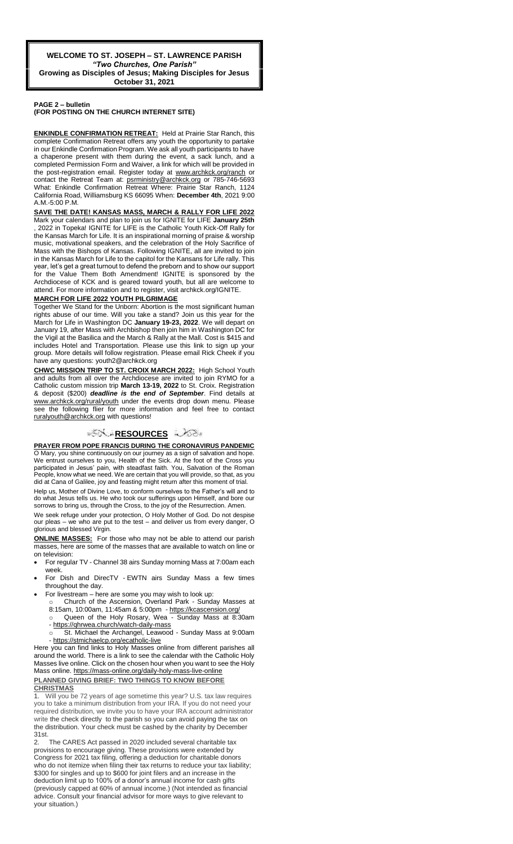#### **PAGE 2 – bulletin (FOR POSTING ON THE CHURCH INTERNET SITE)**

**ENKINDLE CONFIRMATION RETREAT:** Held at Prairie Star Ranch, this complete Confirmation Retreat offers any youth the opportunity to partake in our Enkindle Confirmation Program. We ask all youth participants to have a chaperone present with them during the event, a sack lunch, and a completed Permission Form and Waiver, a link for which will be provided in the post-registration email. Register today at www.archkck.org/ranch or contact the Retreat Team at: psrministry@archkck.org or 785-746-5693 What: Enkindle Confirmation Retreat Where: Prairie Star Ranch, 1124 California Road, Williamsburg KS 66095 When: **December 4th**, 2021 9:00 A.M.-5:00 P.M.

**SAVE THE DATE! KANSAS MASS, MARCH & RALLY FOR LIFE 2022** 

Mark your calendars and plan to join us for IGNITE for LIFE **January 25th** , 2022 in Topeka! IGNITE for LIFE is the Catholic Youth Kick-Off Rally for the Kansas March for Life. It is an inspirational morning of praise & worship music, motivational speakers, and the celebration of the Holy Sacrifice of Mass with the Bishops of Kansas. Following IGNITE, all are invited to join in the Kansas March for Life to the capitol for the Kansans for Life rally. This year, let's get a great turnout to defend the preborn and to show our support for the Value Them Both Amendment! IGNITE is sponsored by the Archdiocese of KCK and is geared toward youth, but all are welcome to attend. For more information and to register, visit archkck.org/IGNITE.

### **MARCH FOR LIFE 2022 YOUTH PILGRIMAGE**

Together We Stand for the Unborn: Abortion is the most significant human rights abuse of our time. Will you take a stand? Join us this year for the March for Life in Washington DC **January 19-23, 2022**. We will depart on January 19, after Mass with Archbishop then join him in Washington DC for the Vigil at the Basilica and the March & Rally at the Mall. Cost is \$415 and includes Hotel and Transportation. Please use this link to sign up your group. More details will follow registration. Please email Rick Cheek if you have any questions: youth2@archkck.org

**CHWC MISSION TRIP TO ST. CROIX MARCH 2022:** High School Youth and adults from all over the Archdiocese are invited to join RYMO for a Catholic custom mission trip **March 13-19, 2022** to St. Croix. Registration & deposit (\$200) *deadline is the end of September*. Find details at www.archkck.org/rural/youth under the events drop down menu. Please see the following flier for more information and feel free to contact ruralyouth@archkck.org with questions!

## ್**ಗ**ೋ RESOURCES ಎಂ

**PRAYER FROM POPE FRANCIS DURING THE CORONAVIRUS PANDEMIC** O Mary, you shine continuously on our journey as a sign of salvation and hope. We entrust ourselves to you, Health of the Sick. At the foot of the Cross you participated in Jesus' pain, with steadfast faith. You, Salvation of the Roman People, know what we need. We are certain that you will provide, so that, as you did at Cana of Galilee, joy and feasting might return after this moment of trial.

Help us, Mother of Divine Love, to conform ourselves to the Father's will and to do what Jesus tells us. He who took our sufferings upon Himself, and bore our sorrows to bring us, through the Cross, to the joy of the Resurrection. Amen.

We seek refuge under your protection, O Holy Mother of God. Do not despise our pleas – we who are put to the test – and deliver us from every danger, O glorious and blessed Virgin.

**ONLINE MASSES:** For those who may not be able to attend our parish masses, here are some of the masses that are available to watch on line or on television:

- For regular TV Channel 38 airs Sunday morning Mass at 7:00am each week.
- For Dish and DirecTV EWTN airs Sunday Mass a few times throughout the day.
- For livestream here are some you may wish to look up: Church of the Ascension, Overland Park - Sunday Masses at
	- 8:15am, 10:00am, 11:45am & 5:00pm <https://kcascension.org/> o Queen of the Holy Rosary, Wea - Sunday Mass at 8:30am
	- <https://qhrwea.church/watch-daily-mass> St. Michael the Archangel, Leawood - Sunday Mass at 9:00am
	- <https://stmichaelcp.org/ecatholic-live>

Here you can find links to Holy Masses online from different parishes all around the world. There is a link to see the calendar with the Catholic Holy Masses live online. Click on the chosen hour when you want to see the Holy Mass online[. https://mass-online.org/daily-holy-mass-live-online](https://mass-online.org/daily-holy-mass-live-online) **PLANNED GIVING BRIEF: TWO THINGS TO KNOW BEFORE CHRISTMAS**

1. Will you be 72 years of age sometime this year? U.S. tax law requires you to take a minimum distribution from your IRA. If you do not need your required distribution, we invite you to have your IRA account administrator write the check directly to the parish so you can avoid paying the tax on the distribution. Your check must be cashed by the charity by December 31st.

2. The CARES Act passed in 2020 included several charitable tax provisions to encourage giving. These provisions were extended by Congress for 2021 tax filing, offering a deduction for charitable donors who do not itemize when filing their tax returns to reduce your tax liability; \$300 for singles and up to \$600 for joint filers and an increase in the deduction limit up to 100% of a donor's annual income for cash gifts (previously capped at 60% of annual income.) (Not intended as financial advice. Consult your financial advisor for more ways to give relevant to your situation.)